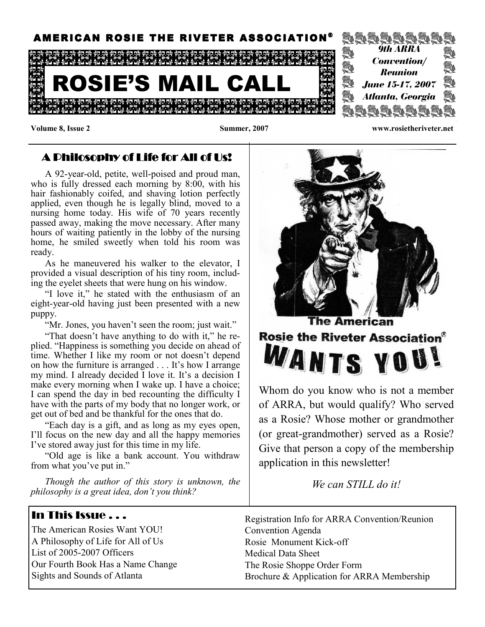

Volume 8, Issue 2 Summer, 2007 www.rosietheriveter.net

### $\blacktriangle$  Dhilosophy of Life for  $\blacktriangle$ ll of Us!

A 92-year-old, petite, well-poised and proud man, who is fully dressed each morning by 8:00, with his hair fashionably coifed, and shaving lotion perfectly applied, even though he is legally blind, moved to a nursing home today. His wife of 70 years recently passed away, making the move necessary. After many hours of waiting patiently in the lobby of the nursing home, he smiled sweetly when told his room was ready.

As he maneuvered his walker to the elevator, I provided a visual description of his tiny room, including the eyelet sheets that were hung on his window.

"I love it," he stated with the enthusiasm of an eight-year-old having just been presented with a new puppy.

"Mr. Jones, you haven't seen the room; just wait."

"That doesn't have anything to do with it," he replied. "Happiness is something you decide on ahead of time. Whether I like my room or not doesn't depend on how the furniture is arranged . . . It's how I arrange my mind. I already decided I love it. It's a decision I make every morning when I wake up. I have a choice; I can spend the day in bed recounting the difficulty I have with the parts of my body that no longer work, or get out of bed and be thankful for the ones that do.

"Each day is a gift, and as long as my eyes open, I'll focus on the new day and all the happy memories I've stored away just for this time in my life.

"Old age is like a bank account. You withdraw from what you've put in."

Though the author of this story is unknown, the philosophy is a great idea, don't you think?

#### In This Issue . . .

The American Rosies Want YOU! A Philosophy of Life for All of Us List of 2005-2007 Officers Our Fourth Book Has a Name Change Sights and Sounds of Atlanta



Whom do you know who is not a member of ARRA, but would qualify? Who served as a Rosie? Whose mother or grandmother (or great-grandmother) served as a Rosie? Give that person a copy of the membership application in this newsletter!

We can STILL do it!

Registration Info for ARRA Convention/Reunion Convention Agenda Rosie Monument Kick-off Medical Data Sheet The Rosie Shoppe Order Form Brochure & Application for ARRA Membership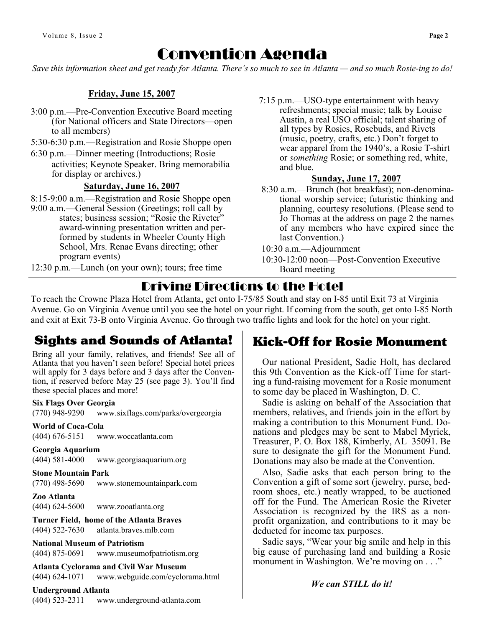# Convention Agenda

Save this information sheet and get ready for Atlanta. There's so much to see in Atlanta — and so much Rosie-ing to do!

#### Friday, June 15, 2007

- 3:00 p.m.—Pre-Convention Executive Board meeting (for National officers and State Directors—open to all members)
- 5:30-6:30 p.m.—Registration and Rosie Shoppe open
- 6:30 p.m.—Dinner meeting (Introductions; Rosie activities; Keynote Speaker. Bring memorabilia for display or archives.)

#### Saturday, June 16, 2007

- 8:15-9:00 a.m.—Registration and Rosie Shoppe open
- 9:00 a.m.—General Session (Greetings; roll call by states; business session; "Rosie the Riveter" award-winning presentation written and per formed by students in Wheeler County High School, Mrs. Renae Evans directing; other program events)

12:30 p.m.—Lunch (on your own); tours; free time

7:15 p.m.—USO-type entertainment with heavy refreshments; special music; talk by Louise Austin, a real USO official; talent sharing of all types by Rosies, Rosebuds, and Rivets (music, poetry, crafts, etc.) Don't forget to wear apparel from the 1940's, a Rosie T-shirt or something Rosie; or something red, white, and blue.

#### Sunday, June 17, 2007

- 8:30 a.m.—Brunch (hot breakfast); non-denominational worship service; futuristic thinking and planning, courtesy resolutions. (Please send to Jo Thomas at the address on page 2 the names of any members who have expired since the last Convention.)
- 10:30 a.m.—Adjournment
- 10:30-12:00 noon—Post-Convention Executive Board meeting

## Driving Directions to the Hotel

To reach the Crowne Plaza Hotel from Atlanta, get onto I-75/85 South and stay on I-85 until Exit 73 at Virginia Avenue. Go on Virginia Avenue until you see the hotel on your right. If coming from the south, get onto I-85 North and exit at Exit 73-B onto Virginia Avenue. Go through two traffic lights and look for the hotel on your right.

### Sights and Sounds of Atlanta!

Bring all your family, relatives, and friends! See all of Atlanta that you haven't seen before! Special hotel prices will apply for 3 days before and 3 days after the Convention, if reserved before May 25 (see page 3). You'll find these special places and more!

#### Six Flags Over Georgia

(770) 948-9290 www.sixflags.com/parks/overgeorgia

World of Coca-Cola

(404) 676-5151 www.woccatlanta.com

#### Georgia Aquarium

(404) 581-4000 www.georgiaaquarium.org

#### Stone Mountain Park

(770) 498-5690 www.stonemountainpark.com

#### Zoo Atlanta (404) 624-5600 www.zooatlanta.org

Turner Field, home of the Atlanta Braves (404) 522-7630 atlanta.braves.mlb.com

#### National Museum of Patriotism

(404) 875-0691 www.museumofpatriotism.org

Atlanta Cyclorama and Civil War Museum (404) 624-1071 www.webguide.com/cyclorama.html

#### Underground Atlanta

(404) 523-2311 www.underground-atlanta.com

### Kick-Off for Rosie Monument

 Our national President, Sadie Holt, has declared this 9th Convention as the Kick-off Time for starting a fund-raising movement for a Rosie monument to some day be placed in Washington, D. C.

 Sadie is asking on behalf of the Association that members, relatives, and friends join in the effort by making a contribution to this Monument Fund. Donations and pledges may be sent to Mabel Myrick, Treasurer, P. O. Box 188, Kimberly, AL 35091. Be sure to designate the gift for the Monument Fund. Donations may also be made at the Convention.

 Also, Sadie asks that each person bring to the Convention a gift of some sort (jewelry, purse, bedroom shoes, etc.) neatly wrapped, to be auctioned off for the Fund. The American Rosie the Riveter Association is recognized by the IRS as a nonprofit organization, and contributions to it may be deducted for income tax purposes.

 Sadie says, "Wear your big smile and help in this big cause of purchasing land and building a Rosie monument in Washington. We're moving on . . ."

#### We can **STILL** do it!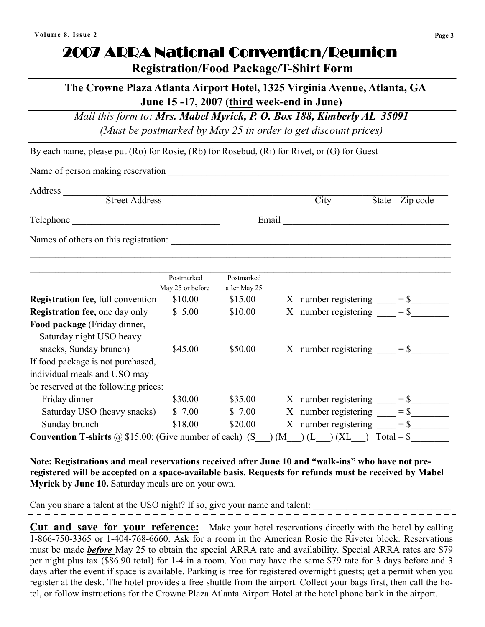# 2007 ARRA National Convention/Reunion

Registration/Food Package/T-Shirt Form

### The Crowne Plaza Atlanta Airport Hotel, 1325 Virginia Avenue, Atlanta, GA June 15 -17, 2007 (third week-end in June)

Mail this form to: Mrs. Mabel Myrick, P. O. Box 188, Kimberly AL 35091

(Must be postmarked by May 25 in order to get discount prices)

By each name, please put (Ro) for Rosie, (Rb) for Rosebud, (Ri) for Rivet, or (G) for Guest

Name of person making reservation

| Address                                                                                                   |                                |                         |     |                                               |       |          |
|-----------------------------------------------------------------------------------------------------------|--------------------------------|-------------------------|-----|-----------------------------------------------|-------|----------|
| <b>Street Address</b><br>Telephone                                                                        |                                |                         |     | City                                          | State | Zip code |
|                                                                                                           |                                | Email                   |     | <u> 1980 - Andrea Andrew Maria (h. 1980).</u> |       |          |
| Names of others on this registration:                                                                     |                                |                         |     |                                               |       |          |
|                                                                                                           | Postmarked<br>May 25 or before | Postmarked              |     |                                               |       |          |
| <b>Registration fee, full convention</b>                                                                  | \$10.00                        | after May 25<br>\$15.00 |     | X number registering $= $$                    |       |          |
| <b>Registration fee, one day only</b>                                                                     | \$5.00                         | \$10.00                 |     | X number registering $=$ \$                   |       |          |
| Food package (Friday dinner,<br>Saturday night USO heavy<br>snacks, Sunday brunch)                        | \$45.00                        | \$50.00                 |     | X number registering $=$ \$                   |       |          |
| If food package is not purchased,<br>individual meals and USO may<br>be reserved at the following prices: |                                |                         |     |                                               |       |          |
| Friday dinner                                                                                             | \$30.00                        | \$35.00                 |     | X number registering $=$ \$                   |       |          |
| Saturday USO (heavy snacks)                                                                               | \$7.00                         | \$7.00                  |     | X number registering $=$ \$                   |       |          |
| Sunday brunch                                                                                             | \$18.00                        | \$20.00                 |     | X number registering                          |       | $=$ \$   |
| <b>Convention T-shirts</b> $\omega$ \$15.00: (Give number of each) (S                                     |                                |                         | (M) | $(L \t)$ (XL) Total = \$                      |       |          |

Note: Registrations and meal reservations received after June 10 and "walk-ins" who have not preregistered will be accepted on a space-available basis. Requests for refunds must be received by Mabel Myrick by June 10. Saturday meals are on your own.

Can you share a talent at the USO night? If so, give your name and talent:  $\frac{1}{1-\frac{1}{1-\frac{1}{1-\frac{1}{1-\frac{1}{1-\frac{1}{1-\frac{1}{1-\frac{1}{1-\frac{1}{1-\frac{1}{1-\frac{1}{1-\frac{1}{1-\frac{1}{1-\frac{1}{1-\frac{1}{1-\frac{1}{1-\frac{1}{1-\frac{1}{1-\frac{1}{1-\frac{1}{1-\frac{1}{1-\frac{1}{1-\frac{1}{1-\frac{1}{1-\$ 

Cut and save for your reference: Make your hotel reservations directly with the hotel by calling 1-866-750-3365 or 1-404-768-6660. Ask for a room in the American Rosie the Riveter block. Reservations must be made **before** May 25 to obtain the special ARRA rate and availability. Special ARRA rates are \$79 per night plus tax (\$86.90 total) for 1-4 in a room. You may have the same \$79 rate for 3 days before and 3 days after the event if space is available. Parking is free for registered overnight guests; get a permit when you register at the desk. The hotel provides a free shuttle from the airport. Collect your bags first, then call the hotel, or follow instructions for the Crowne Plaza Atlanta Airport Hotel at the hotel phone bank in the airport.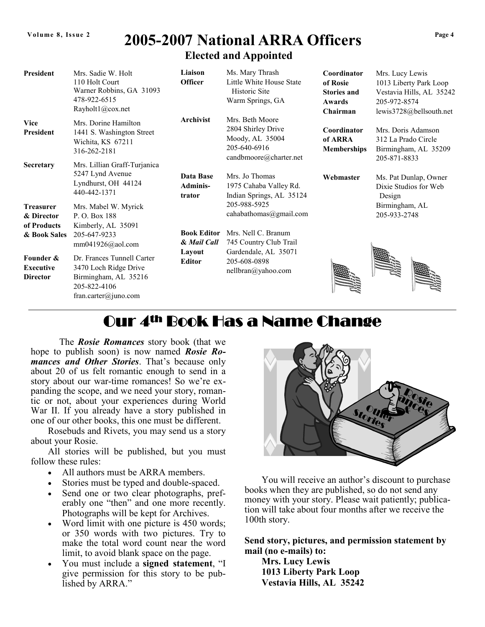## Volume 8, Issue 2 2005-2007 National ARRA Officers  $^{Page 4}$ Elected and Appointed

| <b>President</b>                                              | Mrs. Sadie W. Holt<br>110 Holt Court<br>Warner Robbins, GA 31093<br>478-922-6515<br>Rayholt1@cox.net                   | Liaison<br><b>Officer</b>              | Ms. Mary Thrash<br>Little White House State<br>Historic Site<br>Warm Springs, GA                   | Coordinator<br>of Rosie<br><b>Stories and</b><br>Awards<br>Chairman | Mrs. Lucy Lewis<br>1013 Liberty Park Loop<br>Vestavia Hills, AL 35242<br>205-972-8574<br>lewis3728@bellsouth.net |  |
|---------------------------------------------------------------|------------------------------------------------------------------------------------------------------------------------|----------------------------------------|----------------------------------------------------------------------------------------------------|---------------------------------------------------------------------|------------------------------------------------------------------------------------------------------------------|--|
| <b>Vice</b><br><b>President</b><br><b>Secretary</b>           | Mrs. Dorine Hamilton<br>1441 S. Washington Street<br>Wichita, KS 67211<br>316-262-2181<br>Mrs. Lillian Graff-Turjanica | <b>Archivist</b>                       | Mrs. Beth Moore<br>2804 Shirley Drive<br>Moody, AL 35004<br>205-640-6916<br>candbmoore@charter.net | Coordinator<br>of ARRA<br><b>Memberships</b>                        | Mrs. Doris Adamson<br>312 La Prado Circle<br>Birmingham, AL 35209<br>205-871-8833                                |  |
|                                                               | 5247 Lynd Avenue<br>Lyndhurst, OH 44124<br>440-442-1371                                                                | Data Base<br><b>Adminis-</b><br>trator | Mrs. Jo Thomas<br>1975 Cahaba Valley Rd.<br>Indian Springs, AL 35124<br>205-988-5925               |                                                                     | Ms. Pat Dunlap, Owner<br>Dixie Studios for Web<br>Design                                                         |  |
| <b>Treasurer</b><br>& Director<br>of Products<br>& Book Sales | Mrs. Mabel W. Myrick<br>P. O. Box 188<br>Kimberly, AL 35091<br>205-647-9233<br>$mm041926@a$ ol.com                     | <b>Book Editor</b><br>& Mail Call      | cahabathomas@gmail.com<br>Mrs. Nell C. Branum<br>745 Country Club Trail                            |                                                                     | Birmingham, AL<br>205-933-2748                                                                                   |  |
| Founder &<br><b>Executive</b><br><b>Director</b>              | Dr. Frances Tunnell Carter<br>3470 Loch Ridge Drive<br>Birmingham, AL 35216<br>205-822-4106<br>fran.carter@juno.com    | Layout<br><b>Editor</b>                | Gardendale, AL 35071<br>205-608-0898<br>nellbran@yahoo.com                                         |                                                                     |                                                                                                                  |  |

# Our 4<sup>th</sup> Book Has a Name Change

The *Rosie Romances* story book (that we hope to publish soon) is now named **Rosie Ro**mances and Other Stories. That's because only about 20 of us felt romantic enough to send in a story about our war-time romances! So we're expanding the scope, and we need your story, romantic or not, about your experiences during World War II. If you already have a story published in one of our other books, this one must be different.

Rosebuds and Rivets, you may send us a story about your Rosie.

All stories will be published, but you must follow these rules:

- All authors must be ARRA members.
- Stories must be typed and double-spaced.
- Send one or two clear photographs, preferably one "then" and one more recently. Photographs will be kept for Archives.
- Word limit with one picture is 450 words; or 350 words with two pictures. Try to make the total word count near the word limit, to avoid blank space on the page.
- You must include a signed statement, "I give permission for this story to be published by ARRA."



You will receive an author's discount to purchase books when they are published, so do not send any money with your story. Please wait patiently; publication will take about four months after we receive the 100th story.

Send story, pictures, and permission statement by mail (no e-mails) to:

Mrs. Lucy Lewis 1013 Liberty Park Loop Vestavia Hills, AL 35242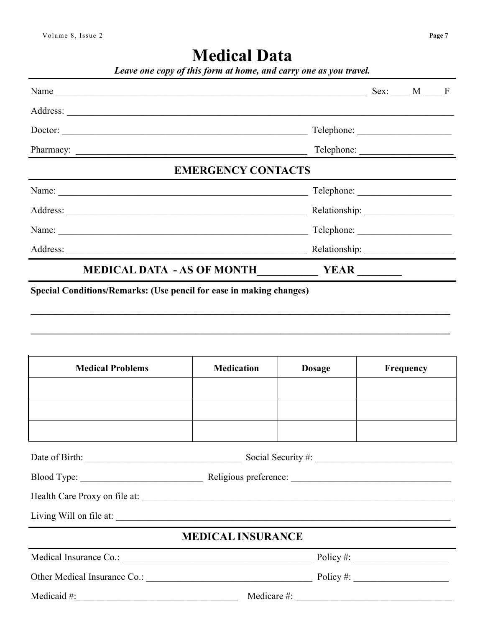# **Medical Data**

|  | Leave one copy of this form at home, and carry one as you travel. |
|--|-------------------------------------------------------------------|
|  |                                                                   |

| Name $\_\_\_\_\$ Sex: $\_\_\_$ M $\_\_\_\$ F                        |  |  |  |  |  |
|---------------------------------------------------------------------|--|--|--|--|--|
|                                                                     |  |  |  |  |  |
| Doctor:                                                             |  |  |  |  |  |
|                                                                     |  |  |  |  |  |
| <b>EMERGENCY CONTACTS</b>                                           |  |  |  |  |  |
|                                                                     |  |  |  |  |  |
|                                                                     |  |  |  |  |  |
| Name:                                                               |  |  |  |  |  |
|                                                                     |  |  |  |  |  |
|                                                                     |  |  |  |  |  |
| Special Conditions/Remarks: (Use pencil for ease in making changes) |  |  |  |  |  |

| <b>Medical Problems</b>  | <b>Medication</b>                                                    | <b>Dosage</b> | <b>Frequency</b> |  |  |
|--------------------------|----------------------------------------------------------------------|---------------|------------------|--|--|
|                          |                                                                      |               |                  |  |  |
|                          |                                                                      |               |                  |  |  |
|                          |                                                                      |               |                  |  |  |
|                          |                                                                      |               |                  |  |  |
|                          |                                                                      |               |                  |  |  |
|                          |                                                                      |               |                  |  |  |
| Living Will on file at:  |                                                                      |               |                  |  |  |
| <b>MEDICAL INSURANCE</b> |                                                                      |               |                  |  |  |
|                          | Policy #: $\_\_\_\_\_\_\_\_\_\_\_\_\_\_\_\_\_\_\_\_\_\_\_\_\_\_\_\_$ |               |                  |  |  |
|                          | $Policy \#:$                                                         |               |                  |  |  |

Medicaid  $#$ :